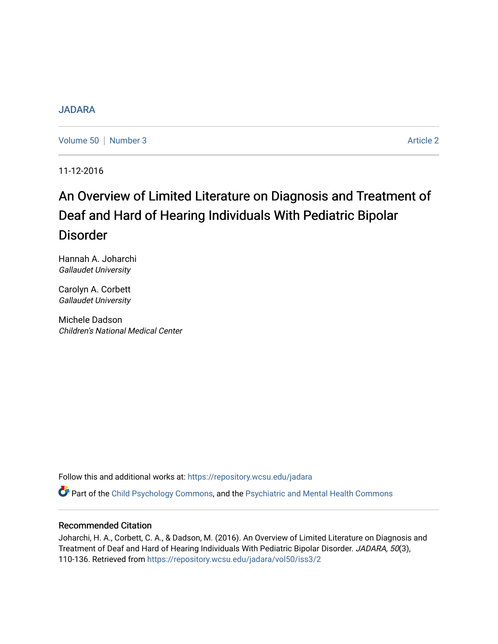### [JADARA](https://repository.wcsu.edu/jadara)

[Volume 50](https://repository.wcsu.edu/jadara/vol50) | [Number 3](https://repository.wcsu.edu/jadara/vol50/iss3) Article 2

11-12-2016

# An Overview of Limited Literature on Diagnosis and Treatment of Deaf and Hard of Hearing Individuals With Pediatric Bipolar Disorder

Hannah A. Joharchi Gallaudet University

Carolyn A. Corbett Gallaudet University

Michele Dadson Children's National Medical Center

Follow this and additional works at: [https://repository.wcsu.edu/jadara](https://repository.wcsu.edu/jadara?utm_source=repository.wcsu.edu%2Fjadara%2Fvol50%2Fiss3%2F2&utm_medium=PDF&utm_campaign=PDFCoverPages)

Part of the [Child Psychology Commons,](http://network.bepress.com/hgg/discipline/1023?utm_source=repository.wcsu.edu%2Fjadara%2Fvol50%2Fiss3%2F2&utm_medium=PDF&utm_campaign=PDFCoverPages) and the [Psychiatric and Mental Health Commons](http://network.bepress.com/hgg/discipline/711?utm_source=repository.wcsu.edu%2Fjadara%2Fvol50%2Fiss3%2F2&utm_medium=PDF&utm_campaign=PDFCoverPages)

### Recommended Citation

Joharchi, H. A., Corbett, C. A., & Dadson, M. (2016). An Overview of Limited Literature on Diagnosis and Treatment of Deaf and Hard of Hearing Individuals With Pediatric Bipolar Disorder. JADARA, 50(3), 110-136. Retrieved from [https://repository.wcsu.edu/jadara/vol50/iss3/2](https://repository.wcsu.edu/jadara/vol50/iss3/2?utm_source=repository.wcsu.edu%2Fjadara%2Fvol50%2Fiss3%2F2&utm_medium=PDF&utm_campaign=PDFCoverPages)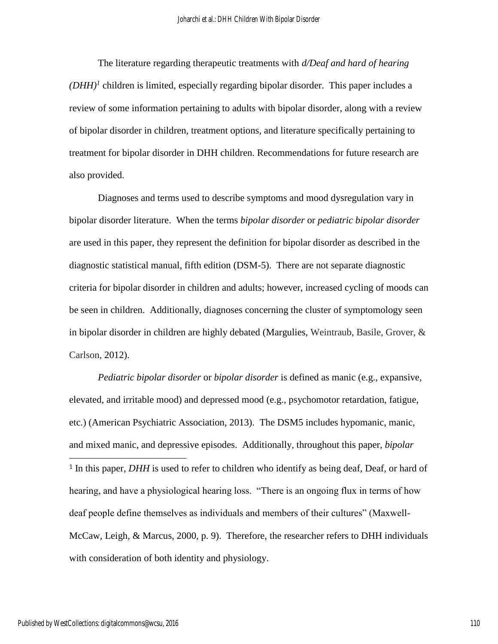The literature regarding therapeutic treatments with *d/Deaf and hard of hearing*   $(DHH)^{1}$  children is limited, especially regarding bipolar disorder. This paper includes a review of some information pertaining to adults with bipolar disorder, along with a review of bipolar disorder in children, treatment options, and literature specifically pertaining to treatment for bipolar disorder in DHH children. Recommendations for future research are also provided.

Diagnoses and terms used to describe symptoms and mood dysregulation vary in bipolar disorder literature. When the terms *bipolar disorder* or *pediatric bipolar disorder* are used in this paper, they represent the definition for bipolar disorder as described in the diagnostic statistical manual, fifth edition (DSM-5). There are not separate diagnostic criteria for bipolar disorder in children and adults; however, increased cycling of moods can be seen in children. Additionally, diagnoses concerning the cluster of symptomology seen in bipolar disorder in children are highly debated (Margulies, Weintraub, Basile, Grover, & Carlson, 2012).

*Pediatric bipolar disorder* or *bipolar disorder* is defined as manic (e.g., expansive, elevated, and irritable mood) and depressed mood (e.g., psychomotor retardation, fatigue, etc.) (American Psychiatric Association, 2013). The DSM5 includes hypomanic, manic, and mixed manic, and depressive episodes. Additionally, throughout this paper, *bipolar*   $\overline{\phantom{a}}$ <sup>1</sup> In this paper, *DHH* is used to refer to children who identify as being deaf, Deaf, or hard of hearing, and have a physiological hearing loss. "There is an ongoing flux in terms of how deaf people define themselves as individuals and members of their cultures" (Maxwell-McCaw, Leigh, & Marcus, 2000, p. 9). Therefore, the researcher refers to DHH individuals with consideration of both identity and physiology.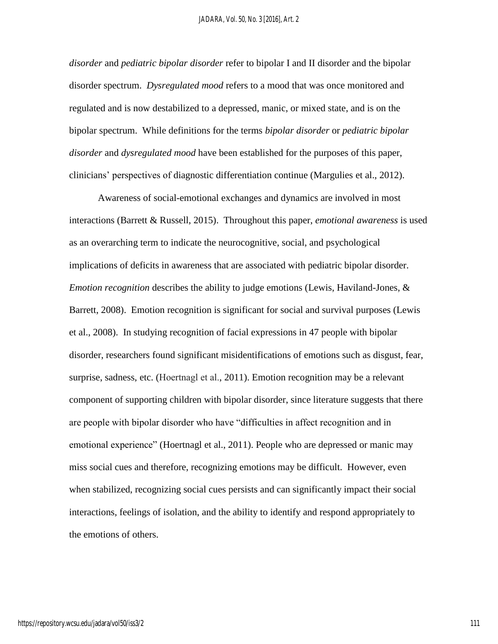*disorder* and *pediatric bipolar disorder* refer to bipolar I and II disorder and the bipolar disorder spectrum. *Dysregulated mood* refers to a mood that was once monitored and regulated and is now destabilized to a depressed, manic, or mixed state, and is on the bipolar spectrum. While definitions for the terms *bipolar disorder* or *pediatric bipolar disorder* and *dysregulated mood* have been established for the purposes of this paper, clinicians' perspectives of diagnostic differentiation continue (Margulies et al., 2012).

Awareness of social-emotional exchanges and dynamics are involved in most interactions (Barrett & Russell, 2015). Throughout this paper, *emotional awareness* is used as an overarching term to indicate the neurocognitive, social, and psychological implications of deficits in awareness that are associated with pediatric bipolar disorder. *Emotion recognition* describes the ability to judge emotions (Lewis, Haviland-Jones, & Barrett, 2008). Emotion recognition is significant for social and survival purposes (Lewis et al., 2008). In studying recognition of facial expressions in 47 people with bipolar disorder, researchers found significant misidentifications of emotions such as disgust, fear, surprise, sadness, etc. (Hoertnagl et al., 2011). Emotion recognition may be a relevant component of supporting children with bipolar disorder, since literature suggests that there are people with bipolar disorder who have "difficulties in affect recognition and in emotional experience" (Hoertnagl et al., 2011). People who are depressed or manic may miss social cues and therefore, recognizing emotions may be difficult. However, even when stabilized, recognizing social cues persists and can significantly impact their social interactions, feelings of isolation, and the ability to identify and respond appropriately to the emotions of others.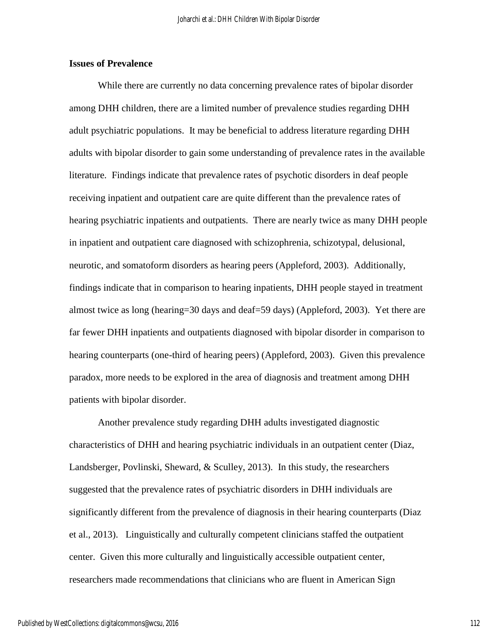### **Issues of Prevalence**

While there are currently no data concerning prevalence rates of bipolar disorder among DHH children, there are a limited number of prevalence studies regarding DHH adult psychiatric populations. It may be beneficial to address literature regarding DHH adults with bipolar disorder to gain some understanding of prevalence rates in the available literature. Findings indicate that prevalence rates of psychotic disorders in deaf people receiving inpatient and outpatient care are quite different than the prevalence rates of hearing psychiatric inpatients and outpatients. There are nearly twice as many DHH people in inpatient and outpatient care diagnosed with schizophrenia, schizotypal, delusional, neurotic, and somatoform disorders as hearing peers (Appleford, 2003). Additionally, findings indicate that in comparison to hearing inpatients, DHH people stayed in treatment almost twice as long (hearing=30 days and deaf=59 days) (Appleford, 2003). Yet there are far fewer DHH inpatients and outpatients diagnosed with bipolar disorder in comparison to hearing counterparts (one-third of hearing peers) (Appleford, 2003). Given this prevalence paradox, more needs to be explored in the area of diagnosis and treatment among DHH patients with bipolar disorder.

Another prevalence study regarding DHH adults investigated diagnostic characteristics of DHH and hearing psychiatric individuals in an outpatient center (Diaz, Landsberger, Povlinski, Sheward, & Sculley, 2013). In this study, the researchers suggested that the prevalence rates of psychiatric disorders in DHH individuals are significantly different from the prevalence of diagnosis in their hearing counterparts (Diaz et al., 2013). Linguistically and culturally competent clinicians staffed the outpatient center. Given this more culturally and linguistically accessible outpatient center, researchers made recommendations that clinicians who are fluent in American Sign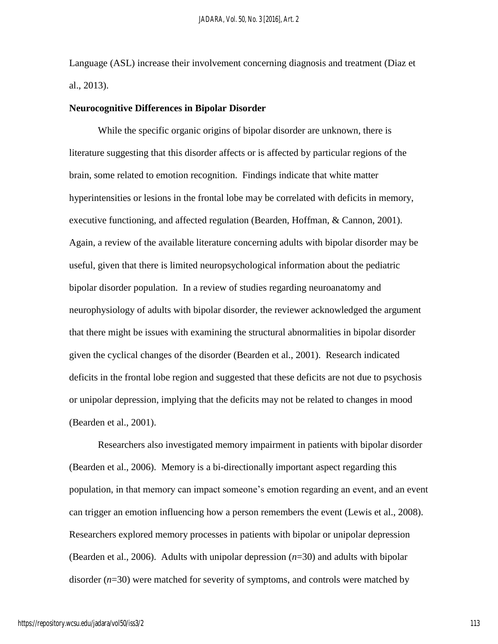Language (ASL) increase their involvement concerning diagnosis and treatment (Diaz et al., 2013).

#### **Neurocognitive Differences in Bipolar Disorder**

While the specific organic origins of bipolar disorder are unknown, there is literature suggesting that this disorder affects or is affected by particular regions of the brain, some related to emotion recognition. Findings indicate that white matter hyperintensities or lesions in the frontal lobe may be correlated with deficits in memory, executive functioning, and affected regulation (Bearden, Hoffman, & Cannon, 2001). Again, a review of the available literature concerning adults with bipolar disorder may be useful, given that there is limited neuropsychological information about the pediatric bipolar disorder population. In a review of studies regarding neuroanatomy and neurophysiology of adults with bipolar disorder, the reviewer acknowledged the argument that there might be issues with examining the structural abnormalities in bipolar disorder given the cyclical changes of the disorder (Bearden et al., 2001). Research indicated deficits in the frontal lobe region and suggested that these deficits are not due to psychosis or unipolar depression, implying that the deficits may not be related to changes in mood (Bearden et al., 2001).

Researchers also investigated memory impairment in patients with bipolar disorder (Bearden et al., 2006). Memory is a bi-directionally important aspect regarding this population, in that memory can impact someone's emotion regarding an event, and an event can trigger an emotion influencing how a person remembers the event (Lewis et al., 2008). Researchers explored memory processes in patients with bipolar or unipolar depression (Bearden et al., 2006). Adults with unipolar depression (*n*=30) and adults with bipolar disorder (*n*=30) were matched for severity of symptoms, and controls were matched by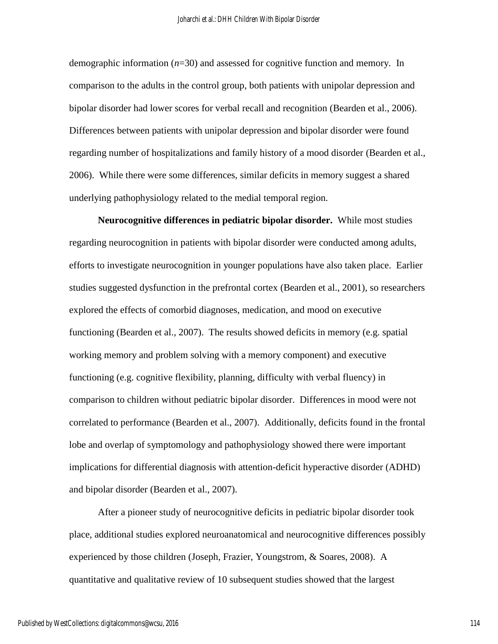demographic information (*n*=30) and assessed for cognitive function and memory. In comparison to the adults in the control group, both patients with unipolar depression and bipolar disorder had lower scores for verbal recall and recognition (Bearden et al., 2006). Differences between patients with unipolar depression and bipolar disorder were found regarding number of hospitalizations and family history of a mood disorder (Bearden et al., 2006). While there were some differences, similar deficits in memory suggest a shared underlying pathophysiology related to the medial temporal region.

**Neurocognitive differences in pediatric bipolar disorder.** While most studies regarding neurocognition in patients with bipolar disorder were conducted among adults, efforts to investigate neurocognition in younger populations have also taken place. Earlier studies suggested dysfunction in the prefrontal cortex (Bearden et al., 2001), so researchers explored the effects of comorbid diagnoses, medication, and mood on executive functioning (Bearden et al., 2007). The results showed deficits in memory (e.g. spatial working memory and problem solving with a memory component) and executive functioning (e.g. cognitive flexibility, planning, difficulty with verbal fluency) in comparison to children without pediatric bipolar disorder. Differences in mood were not correlated to performance (Bearden et al., 2007). Additionally, deficits found in the frontal lobe and overlap of symptomology and pathophysiology showed there were important implications for differential diagnosis with attention-deficit hyperactive disorder (ADHD) and bipolar disorder (Bearden et al., 2007).

After a pioneer study of neurocognitive deficits in pediatric bipolar disorder took place, additional studies explored neuroanatomical and neurocognitive differences possibly experienced by those children (Joseph, Frazier, Youngstrom, & Soares, 2008). A quantitative and qualitative review of 10 subsequent studies showed that the largest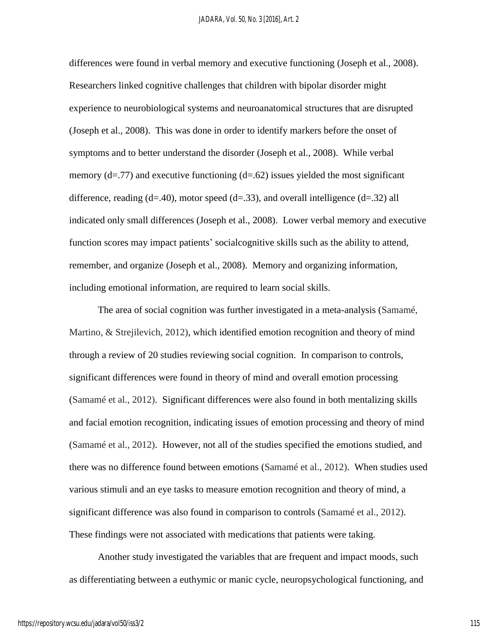differences were found in verbal memory and executive functioning (Joseph et al., 2008). Researchers linked cognitive challenges that children with bipolar disorder might experience to neurobiological systems and neuroanatomical structures that are disrupted (Joseph et al., 2008). This was done in order to identify markers before the onset of symptoms and to better understand the disorder (Joseph et al., 2008). While verbal memory  $(d=.77)$  and executive functioning  $(d=.62)$  issues yielded the most significant difference, reading (d=.40), motor speed (d=.33), and overall intelligence (d=.32) all indicated only small differences (Joseph et al., 2008). Lower verbal memory and executive function scores may impact patients' socialcognitive skills such as the ability to attend, remember, and organize (Joseph et al., 2008). Memory and organizing information, including emotional information, are required to learn social skills.

The area of social cognition was further investigated in a meta-analysis (Samamé, Martino, & Strejilevich, 2012), which identified emotion recognition and theory of mind through a review of 20 studies reviewing social cognition. In comparison to controls, significant differences were found in theory of mind and overall emotion processing (Samamé et al., 2012). Significant differences were also found in both mentalizing skills and facial emotion recognition, indicating issues of emotion processing and theory of mind (Samamé et al., 2012). However, not all of the studies specified the emotions studied, and there was no difference found between emotions (Samamé et al., 2012). When studies used various stimuli and an eye tasks to measure emotion recognition and theory of mind, a significant difference was also found in comparison to controls (Samamé et al., 2012). These findings were not associated with medications that patients were taking.

Another study investigated the variables that are frequent and impact moods, such as differentiating between a euthymic or manic cycle, neuropsychological functioning, and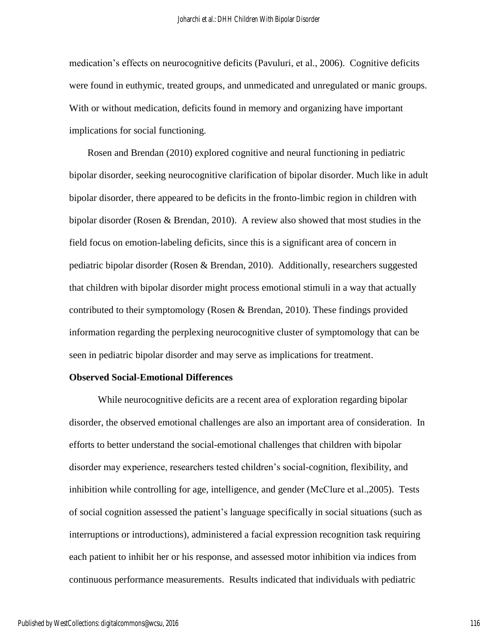medication's effects on neurocognitive deficits (Pavuluri, et al., 2006). Cognitive deficits were found in euthymic, treated groups, and unmedicated and unregulated or manic groups. With or without medication, deficits found in memory and organizing have important implications for social functioning.

Rosen and Brendan (2010) explored cognitive and neural functioning in pediatric bipolar disorder, seeking neurocognitive clarification of bipolar disorder. Much like in adult bipolar disorder, there appeared to be deficits in the fronto-limbic region in children with bipolar disorder (Rosen & Brendan, 2010). A review also showed that most studies in the field focus on emotion-labeling deficits, since this is a significant area of concern in pediatric bipolar disorder (Rosen & Brendan, 2010). Additionally, researchers suggested that children with bipolar disorder might process emotional stimuli in a way that actually contributed to their symptomology (Rosen & Brendan, 2010). These findings provided information regarding the perplexing neurocognitive cluster of symptomology that can be seen in pediatric bipolar disorder and may serve as implications for treatment.

#### **Observed Social-Emotional Differences**

While neurocognitive deficits are a recent area of exploration regarding bipolar disorder, the observed emotional challenges are also an important area of consideration. In efforts to better understand the social-emotional challenges that children with bipolar disorder may experience, researchers tested children's social-cognition, flexibility, and inhibition while controlling for age, intelligence, and gender (McClure et al.,2005). Tests of social cognition assessed the patient's language specifically in social situations (such as interruptions or introductions), administered a facial expression recognition task requiring each patient to inhibit her or his response, and assessed motor inhibition via indices from continuous performance measurements. Results indicated that individuals with pediatric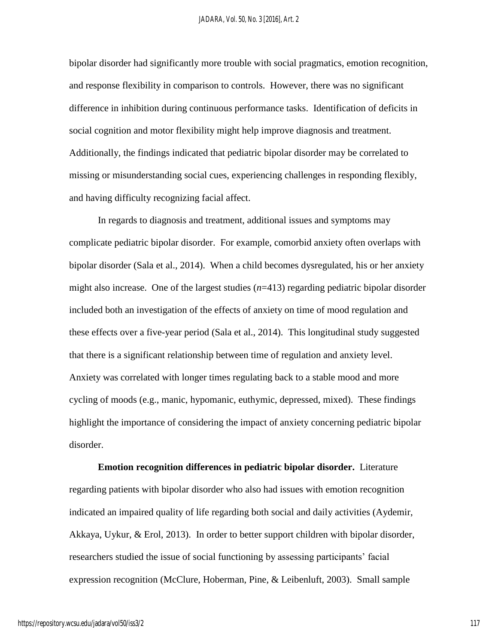bipolar disorder had significantly more trouble with social pragmatics, emotion recognition, and response flexibility in comparison to controls. However, there was no significant difference in inhibition during continuous performance tasks. Identification of deficits in social cognition and motor flexibility might help improve diagnosis and treatment. Additionally, the findings indicated that pediatric bipolar disorder may be correlated to missing or misunderstanding social cues, experiencing challenges in responding flexibly, and having difficulty recognizing facial affect.

In regards to diagnosis and treatment, additional issues and symptoms may complicate pediatric bipolar disorder. For example, comorbid anxiety often overlaps with bipolar disorder (Sala et al., 2014). When a child becomes dysregulated, his or her anxiety might also increase. One of the largest studies ( $n=413$ ) regarding pediatric bipolar disorder included both an investigation of the effects of anxiety on time of mood regulation and these effects over a five-year period (Sala et al., 2014). This longitudinal study suggested that there is a significant relationship between time of regulation and anxiety level. Anxiety was correlated with longer times regulating back to a stable mood and more cycling of moods (e.g., manic, hypomanic, euthymic, depressed, mixed). These findings highlight the importance of considering the impact of anxiety concerning pediatric bipolar disorder.

**Emotion recognition differences in pediatric bipolar disorder.** Literature regarding patients with bipolar disorder who also had issues with emotion recognition indicated an impaired quality of life regarding both social and daily activities (Aydemir, Akkaya, Uykur, & Erol, 2013). In order to better support children with bipolar disorder, researchers studied the issue of social functioning by assessing participants' facial expression recognition (McClure, Hoberman, Pine, & Leibenluft, 2003). Small sample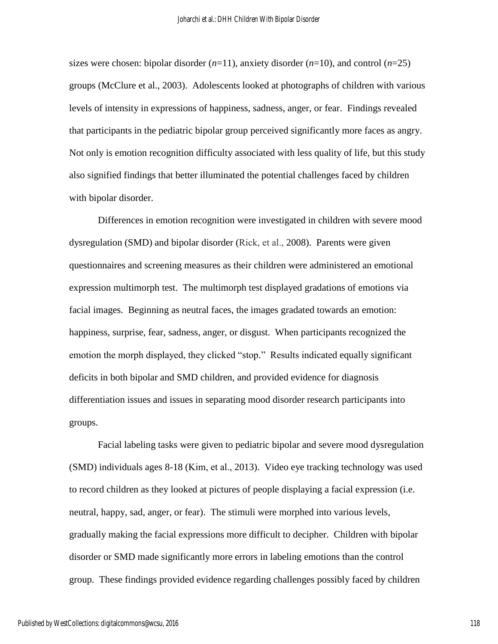sizes were chosen: bipolar disorder  $(n=11)$ , anxiety disorder  $(n=10)$ , and control  $(n=25)$ groups (McClure et al., 2003). Adolescents looked at photographs of children with various levels of intensity in expressions of happiness, sadness, anger, or fear. Findings revealed that participants in the pediatric bipolar group perceived significantly more faces as angry. Not only is emotion recognition difficulty associated with less quality of life, but this study also signified findings that better illuminated the potential challenges faced by children with bipolar disorder.

Differences in emotion recognition were investigated in children with severe mood dysregulation (SMD) and bipolar disorder (Rick, et al., 2008). Parents were given questionnaires and screening measures as their children were administered an emotional expression multimorph test. The multimorph test displayed gradations of emotions via facial images. Beginning as neutral faces, the images gradated towards an emotion: happiness, surprise, fear, sadness, anger, or disgust. When participants recognized the emotion the morph displayed, they clicked "stop." Results indicated equally significant deficits in both bipolar and SMD children, and provided evidence for diagnosis differentiation issues and issues in separating mood disorder research participants into groups.

Facial labeling tasks were given to pediatric bipolar and severe mood dysregulation (SMD) individuals ages 8-18 (Kim, et al., 2013). Video eye tracking technology was used to record children as they looked at pictures of people displaying a facial expression (i.e. neutral, happy, sad, anger, or fear). The stimuli were morphed into various levels, gradually making the facial expressions more difficult to decipher. Children with bipolar disorder or SMD made significantly more errors in labeling emotions than the control group. These findings provided evidence regarding challenges possibly faced by children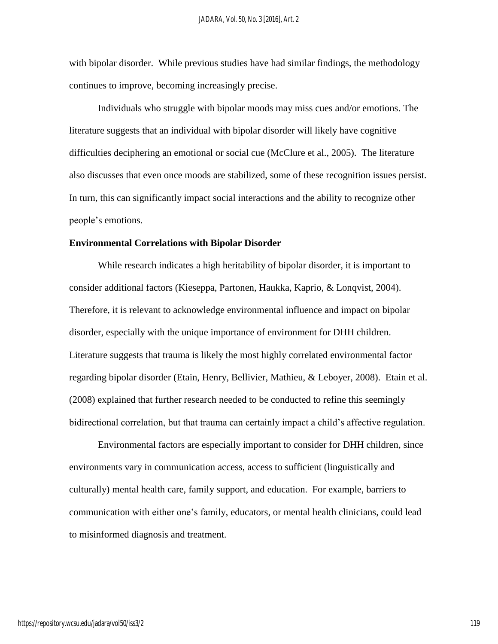with bipolar disorder. While previous studies have had similar findings, the methodology continues to improve, becoming increasingly precise.

Individuals who struggle with bipolar moods may miss cues and/or emotions. The literature suggests that an individual with bipolar disorder will likely have cognitive difficulties deciphering an emotional or social cue (McClure et al., 2005). The literature also discusses that even once moods are stabilized, some of these recognition issues persist. In turn, this can significantly impact social interactions and the ability to recognize other people's emotions.

#### **Environmental Correlations with Bipolar Disorder**

While research indicates a high heritability of bipolar disorder, it is important to consider additional factors (Kieseppa, Partonen, Haukka, Kaprio, & Lonqvist, 2004). Therefore, it is relevant to acknowledge environmental influence and impact on bipolar disorder, especially with the unique importance of environment for DHH children. Literature suggests that trauma is likely the most highly correlated environmental factor regarding bipolar disorder (Etain, Henry, Bellivier, Mathieu, & Leboyer, 2008). Etain et al. (2008) explained that further research needed to be conducted to refine this seemingly bidirectional correlation, but that trauma can certainly impact a child's affective regulation.

Environmental factors are especially important to consider for DHH children, since environments vary in communication access, access to sufficient (linguistically and culturally) mental health care, family support, and education. For example, barriers to communication with either one's family, educators, or mental health clinicians, could lead to misinformed diagnosis and treatment.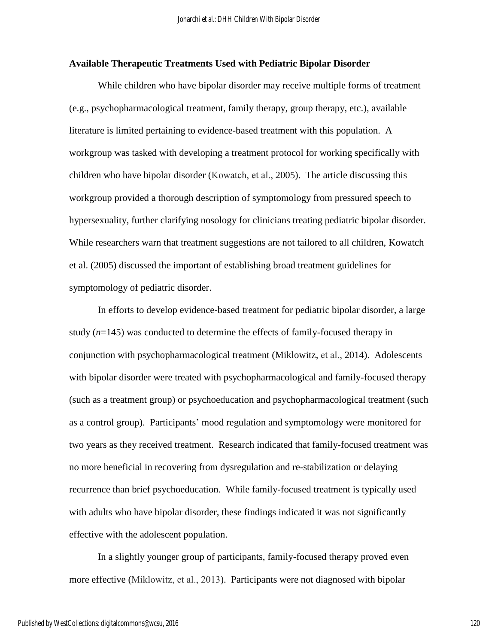#### **Available Therapeutic Treatments Used with Pediatric Bipolar Disorder**

While children who have bipolar disorder may receive multiple forms of treatment (e.g., psychopharmacological treatment, family therapy, group therapy, etc.), available literature is limited pertaining to evidence-based treatment with this population. A workgroup was tasked with developing a treatment protocol for working specifically with children who have bipolar disorder (Kowatch, et al., 2005). The article discussing this workgroup provided a thorough description of symptomology from pressured speech to hypersexuality, further clarifying nosology for clinicians treating pediatric bipolar disorder. While researchers warn that treatment suggestions are not tailored to all children, Kowatch et al. (2005) discussed the important of establishing broad treatment guidelines for symptomology of pediatric disorder.

In efforts to develop evidence-based treatment for pediatric bipolar disorder, a large study (*n*=145) was conducted to determine the effects of family-focused therapy in conjunction with psychopharmacological treatment (Miklowitz, et al., 2014). Adolescents with bipolar disorder were treated with psychopharmacological and family-focused therapy (such as a treatment group) or psychoeducation and psychopharmacological treatment (such as a control group). Participants' mood regulation and symptomology were monitored for two years as they received treatment. Research indicated that family-focused treatment was no more beneficial in recovering from dysregulation and re-stabilization or delaying recurrence than brief psychoeducation. While family-focused treatment is typically used with adults who have bipolar disorder, these findings indicated it was not significantly effective with the adolescent population.

In a slightly younger group of participants, family-focused therapy proved even more effective (Miklowitz, et al., 2013). Participants were not diagnosed with bipolar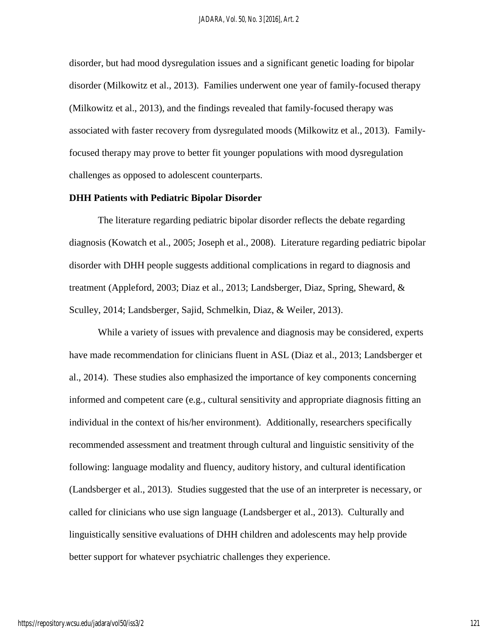disorder, but had mood dysregulation issues and a significant genetic loading for bipolar disorder (Milkowitz et al., 2013). Families underwent one year of family-focused therapy (Milkowitz et al., 2013), and the findings revealed that family-focused therapy was associated with faster recovery from dysregulated moods (Milkowitz et al., 2013). Familyfocused therapy may prove to better fit younger populations with mood dysregulation challenges as opposed to adolescent counterparts.

#### **DHH Patients with Pediatric Bipolar Disorder**

The literature regarding pediatric bipolar disorder reflects the debate regarding diagnosis (Kowatch et al., 2005; Joseph et al., 2008). Literature regarding pediatric bipolar disorder with DHH people suggests additional complications in regard to diagnosis and treatment (Appleford, 2003; Diaz et al., 2013; Landsberger, Diaz, Spring, Sheward, & Sculley, 2014; Landsberger, Sajid, Schmelkin, Diaz, & Weiler, 2013).

While a variety of issues with prevalence and diagnosis may be considered, experts have made recommendation for clinicians fluent in ASL (Diaz et al., 2013; Landsberger et al., 2014). These studies also emphasized the importance of key components concerning informed and competent care (e.g., cultural sensitivity and appropriate diagnosis fitting an individual in the context of his/her environment). Additionally, researchers specifically recommended assessment and treatment through cultural and linguistic sensitivity of the following: language modality and fluency, auditory history, and cultural identification (Landsberger et al., 2013). Studies suggested that the use of an interpreter is necessary, or called for clinicians who use sign language (Landsberger et al., 2013). Culturally and linguistically sensitive evaluations of DHH children and adolescents may help provide better support for whatever psychiatric challenges they experience.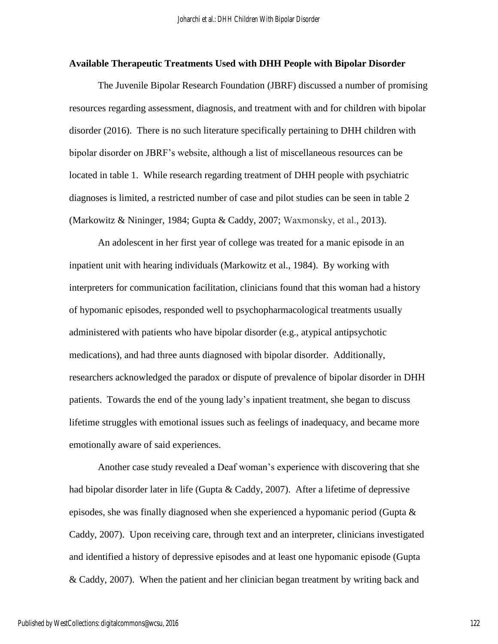#### **Available Therapeutic Treatments Used with DHH People with Bipolar Disorder**

The Juvenile Bipolar Research Foundation (JBRF) discussed a number of promising resources regarding assessment, diagnosis, and treatment with and for children with bipolar disorder (2016). There is no such literature specifically pertaining to DHH children with bipolar disorder on JBRF's website, although a list of miscellaneous resources can be located in table 1. While research regarding treatment of DHH people with psychiatric diagnoses is limited, a restricted number of case and pilot studies can be seen in table 2 (Markowitz & Nininger, 1984; Gupta & Caddy, 2007; Waxmonsky, et al., 2013).

An adolescent in her first year of college was treated for a manic episode in an inpatient unit with hearing individuals (Markowitz et al., 1984). By working with interpreters for communication facilitation, clinicians found that this woman had a history of hypomanic episodes, responded well to psychopharmacological treatments usually administered with patients who have bipolar disorder (e.g., atypical antipsychotic medications), and had three aunts diagnosed with bipolar disorder. Additionally, researchers acknowledged the paradox or dispute of prevalence of bipolar disorder in DHH patients. Towards the end of the young lady's inpatient treatment, she began to discuss lifetime struggles with emotional issues such as feelings of inadequacy, and became more emotionally aware of said experiences.

Another case study revealed a Deaf woman's experience with discovering that she had bipolar disorder later in life (Gupta & Caddy, 2007). After a lifetime of depressive episodes, she was finally diagnosed when she experienced a hypomanic period (Gupta  $\&$ Caddy, 2007). Upon receiving care, through text and an interpreter, clinicians investigated and identified a history of depressive episodes and at least one hypomanic episode (Gupta & Caddy, 2007). When the patient and her clinician began treatment by writing back and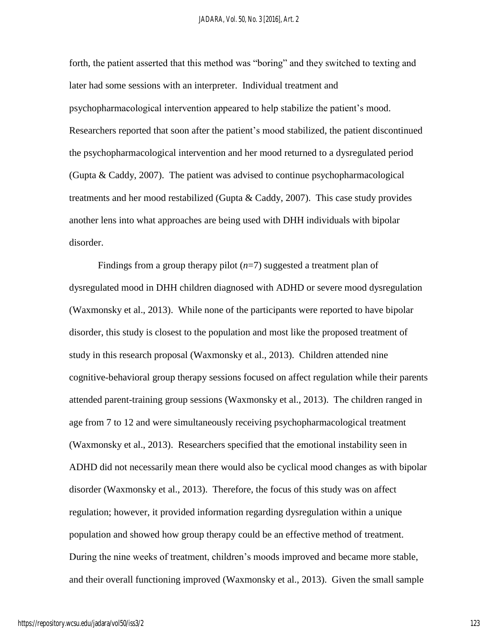forth, the patient asserted that this method was "boring" and they switched to texting and later had some sessions with an interpreter. Individual treatment and psychopharmacological intervention appeared to help stabilize the patient's mood. Researchers reported that soon after the patient's mood stabilized, the patient discontinued the psychopharmacological intervention and her mood returned to a dysregulated period (Gupta & Caddy, 2007). The patient was advised to continue psychopharmacological treatments and her mood restabilized (Gupta & Caddy, 2007). This case study provides another lens into what approaches are being used with DHH individuals with bipolar disorder.

Findings from a group therapy pilot (*n*=7) suggested a treatment plan of dysregulated mood in DHH children diagnosed with ADHD or severe mood dysregulation (Waxmonsky et al., 2013). While none of the participants were reported to have bipolar disorder, this study is closest to the population and most like the proposed treatment of study in this research proposal (Waxmonsky et al., 2013). Children attended nine cognitive-behavioral group therapy sessions focused on affect regulation while their parents attended parent-training group sessions (Waxmonsky et al., 2013). The children ranged in age from 7 to 12 and were simultaneously receiving psychopharmacological treatment (Waxmonsky et al., 2013). Researchers specified that the emotional instability seen in ADHD did not necessarily mean there would also be cyclical mood changes as with bipolar disorder (Waxmonsky et al., 2013). Therefore, the focus of this study was on affect regulation; however, it provided information regarding dysregulation within a unique population and showed how group therapy could be an effective method of treatment. During the nine weeks of treatment, children's moods improved and became more stable, and their overall functioning improved (Waxmonsky et al., 2013). Given the small sample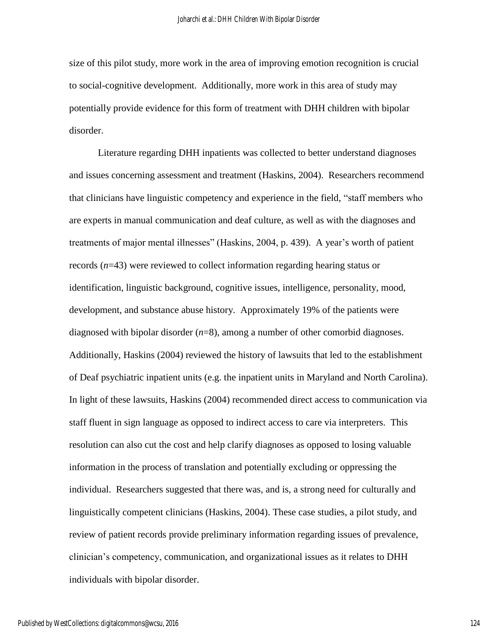size of this pilot study, more work in the area of improving emotion recognition is crucial to social-cognitive development. Additionally, more work in this area of study may potentially provide evidence for this form of treatment with DHH children with bipolar disorder.

Literature regarding DHH inpatients was collected to better understand diagnoses and issues concerning assessment and treatment (Haskins, 2004). Researchers recommend that clinicians have linguistic competency and experience in the field, "staff members who are experts in manual communication and deaf culture, as well as with the diagnoses and treatments of major mental illnesses" (Haskins, 2004, p. 439). A year's worth of patient records (*n*=43) were reviewed to collect information regarding hearing status or identification, linguistic background, cognitive issues, intelligence, personality, mood, development, and substance abuse history. Approximately 19% of the patients were diagnosed with bipolar disorder (*n*=8), among a number of other comorbid diagnoses. Additionally, Haskins (2004) reviewed the history of lawsuits that led to the establishment of Deaf psychiatric inpatient units (e.g. the inpatient units in Maryland and North Carolina). In light of these lawsuits, Haskins (2004) recommended direct access to communication via staff fluent in sign language as opposed to indirect access to care via interpreters. This resolution can also cut the cost and help clarify diagnoses as opposed to losing valuable information in the process of translation and potentially excluding or oppressing the individual. Researchers suggested that there was, and is, a strong need for culturally and linguistically competent clinicians (Haskins, 2004). These case studies, a pilot study, and review of patient records provide preliminary information regarding issues of prevalence, clinician's competency, communication, and organizational issues as it relates to DHH individuals with bipolar disorder.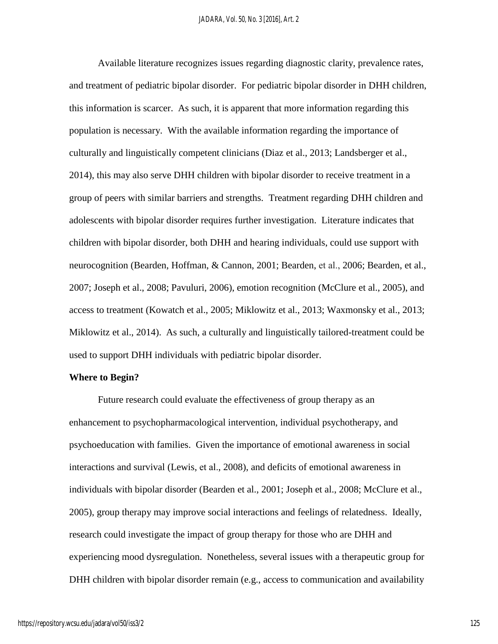Available literature recognizes issues regarding diagnostic clarity, prevalence rates, and treatment of pediatric bipolar disorder. For pediatric bipolar disorder in DHH children, this information is scarcer. As such, it is apparent that more information regarding this population is necessary. With the available information regarding the importance of culturally and linguistically competent clinicians (Diaz et al., 2013; Landsberger et al., 2014), this may also serve DHH children with bipolar disorder to receive treatment in a group of peers with similar barriers and strengths. Treatment regarding DHH children and adolescents with bipolar disorder requires further investigation. Literature indicates that children with bipolar disorder, both DHH and hearing individuals, could use support with neurocognition (Bearden, Hoffman, & Cannon, 2001; Bearden, et al., 2006; Bearden, et al., 2007; Joseph et al., 2008; Pavuluri, 2006), emotion recognition (McClure et al., 2005), and access to treatment (Kowatch et al., 2005; Miklowitz et al., 2013; Waxmonsky et al., 2013; Miklowitz et al., 2014). As such, a culturally and linguistically tailored-treatment could be used to support DHH individuals with pediatric bipolar disorder.

#### **Where to Begin?**

Future research could evaluate the effectiveness of group therapy as an enhancement to psychopharmacological intervention, individual psychotherapy, and psychoeducation with families. Given the importance of emotional awareness in social interactions and survival (Lewis, et al., 2008), and deficits of emotional awareness in individuals with bipolar disorder (Bearden et al., 2001; Joseph et al., 2008; McClure et al., 2005), group therapy may improve social interactions and feelings of relatedness. Ideally, research could investigate the impact of group therapy for those who are DHH and experiencing mood dysregulation. Nonetheless, several issues with a therapeutic group for DHH children with bipolar disorder remain (e.g., access to communication and availability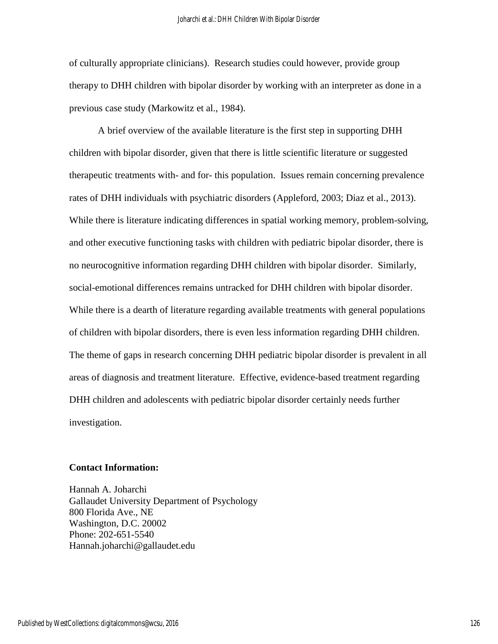of culturally appropriate clinicians). Research studies could however, provide group therapy to DHH children with bipolar disorder by working with an interpreter as done in a previous case study (Markowitz et al., 1984).

A brief overview of the available literature is the first step in supporting DHH children with bipolar disorder, given that there is little scientific literature or suggested therapeutic treatments with- and for- this population. Issues remain concerning prevalence rates of DHH individuals with psychiatric disorders (Appleford, 2003; Diaz et al., 2013). While there is literature indicating differences in spatial working memory, problem-solving, and other executive functioning tasks with children with pediatric bipolar disorder, there is no neurocognitive information regarding DHH children with bipolar disorder. Similarly, social-emotional differences remains untracked for DHH children with bipolar disorder. While there is a dearth of literature regarding available treatments with general populations of children with bipolar disorders, there is even less information regarding DHH children. The theme of gaps in research concerning DHH pediatric bipolar disorder is prevalent in all areas of diagnosis and treatment literature. Effective, evidence-based treatment regarding DHH children and adolescents with pediatric bipolar disorder certainly needs further investigation.

#### **Contact Information:**

Hannah A. Joharchi Gallaudet University Department of Psychology 800 Florida Ave., NE Washington, D.C. 20002 Phone: 202-651-5540 Hannah.joharchi@gallaudet.edu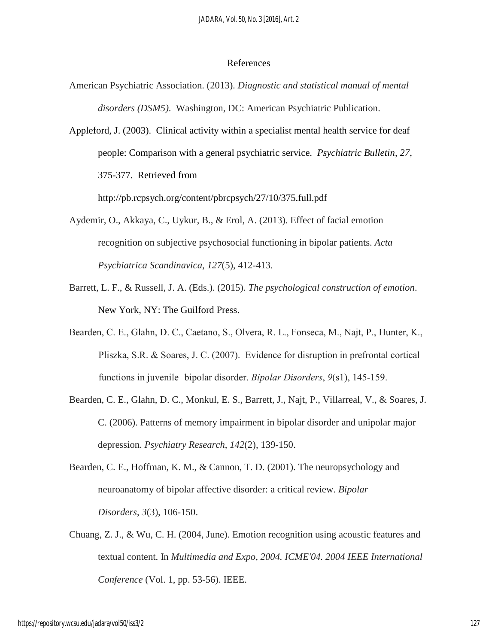#### References

- American Psychiatric Association. (2013). *Diagnostic and statistical manual of mental disorders (DSM5)*. Washington, DC: American Psychiatric Publication.
- Appleford, J. (2003). Clinical activity within a specialist mental health service for deaf people: Comparison with a general psychiatric service. *Psychiatric Bulletin, 27*, 375-377. Retrieved from

http://pb.rcpsych.org/content/pbrcpsych/27/10/375.full.pdf

- Aydemir, O., Akkaya, C., Uykur, B., & Erol, A. (2013). Effect of facial emotion recognition on subjective psychosocial functioning in bipolar patients. *Acta Psychiatrica Scandinavica*, *127*(5), 412-413.
- Barrett, L. F., & Russell, J. A. (Eds.). (2015). *The psychological construction of emotion*. New York, NY: The Guilford Press.
- Bearden, C. E., Glahn, D. C., Caetano, S., Olvera, R. L., Fonseca, M., Najt, P., Hunter, K., Pliszka, S.R. & Soares, J. C. (2007). Evidence for disruption in prefrontal cortical functions in juvenile bipolar disorder. *Bipolar Disorders*, *9*(s1), 145-159.
- Bearden, C. E., Glahn, D. C., Monkul, E. S., Barrett, J., Najt, P., Villarreal, V., & Soares, J. C. (2006). Patterns of memory impairment in bipolar disorder and unipolar major depression. *Psychiatry Research*, *142*(2), 139-150.
- Bearden, C. E., Hoffman, K. M., & Cannon, T. D. (2001). The neuropsychology and neuroanatomy of bipolar affective disorder: a critical review. *Bipolar Disorders*, *3*(3), 106-150.
- Chuang, Z. J., & Wu, C. H. (2004, June). Emotion recognition using acoustic features and textual content. In *Multimedia and Expo, 2004. ICME'04. 2004 IEEE International Conference* (Vol. 1, pp. 53-56). IEEE.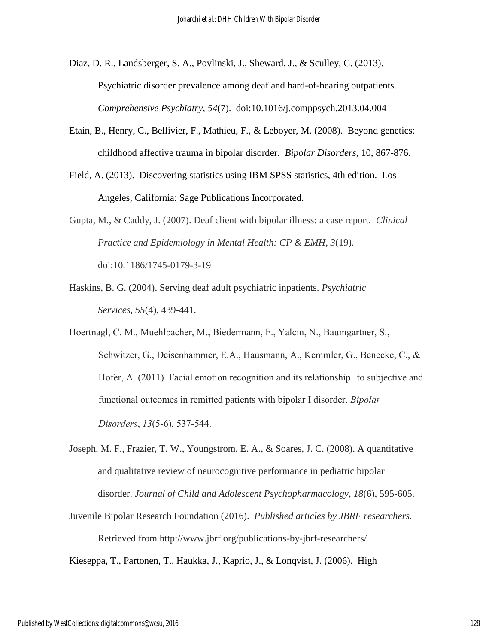- Diaz, D. R., Landsberger, S. A., Povlinski, J., Sheward, J., & Sculley, C. (2013). Psychiatric disorder prevalence among deaf and hard-of-hearing outpatients. *Comprehensive Psychiatry*, *54*(7). [doi:10.1016/j.comppsych.2013.04.004](http://dx.doi.org/10.1016/j.comppsych.2013.04.004)
- Etain, B., Henry, C., Bellivier, F., Mathieu, F., & Leboyer, M. (2008). Beyond genetics: childhood affective trauma in bipolar disorder. *Bipolar Disorders*, 10, 867-876.
- Field, A. (2013). Discovering statistics using IBM SPSS statistics, 4th edition. Los Angeles, California: Sage Publications Incorporated.
- Gupta, M., & Caddy, J. (2007). Deaf client with bipolar illness: a case report. *Clinical Practice and Epidemiology in Mental Health: CP & EMH*, *3*(19). doi:10.1186/1745-0179-3-19
- Haskins, B. G. (2004). Serving deaf adult psychiatric inpatients. *Psychiatric Services*, *55*(4), 439-441.
- Hoertnagl, C. M., Muehlbacher, M., Biedermann, F., Yalcin, N., Baumgartner, S., Schwitzer, G., Deisenhammer, E.A., Hausmann, A., Kemmler, G., Benecke, C., & Hofer, A. (2011). Facial emotion recognition and its relationship to subjective and functional outcomes in remitted patients with bipolar I disorder. *Bipolar Disorders*, *13*(5‐6), 537-544.
- Joseph, M. F., Frazier, T. W., Youngstrom, E. A., & Soares, J. C. (2008). A quantitative and qualitative review of neurocognitive performance in pediatric bipolar disorder. *Journal of Child and Adolescent Psychopharmacology*, *18*(6), 595-605.
- Juvenile Bipolar Research Foundation (2016). *Published articles by JBRF researchers.* Retrieved from http://www.jbrf.org/publications-by-jbrf-researchers/

Kieseppa, T., Partonen, T., Haukka, J., Kaprio, J., & Lonqvist, J. (2006). High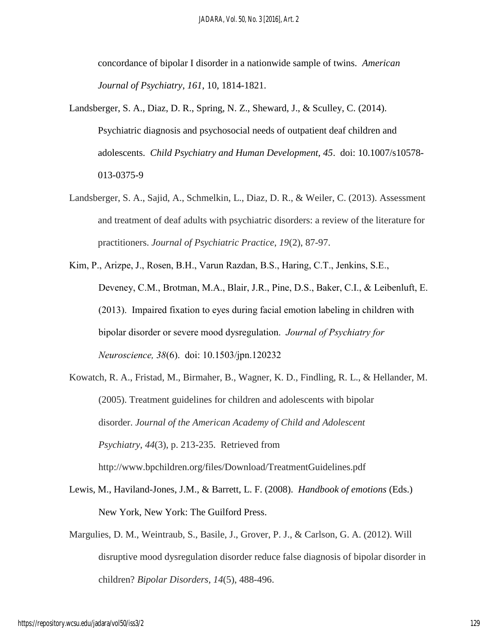concordance of bipolar I disorder in a nationwide sample of twins. *American Journal of Psychiatry*, *161*, 10, 1814-1821.

- Landsberger, S. A., Diaz, D. R., Spring, N. Z., Sheward, J., & Sculley, C. (2014). Psychiatric diagnosis and psychosocial needs of outpatient deaf children and adolescents. *Child Psychiatry and Human Development, 45*. doi: 10.1007/s10578- 013-0375-9
- Landsberger, S. A., Sajid, A., Schmelkin, L., Diaz, D. R., & Weiler, C. (2013). Assessment and treatment of deaf adults with psychiatric disorders: a review of the literature for practitioners. *Journal of Psychiatric Practice*, *19*(2), 87-97.
- Kim, P., Arizpe, J., Rosen, B.H., Varun Razdan, B.S., Haring, C.T., Jenkins, S.E., Deveney, C.M., Brotman, M.A., Blair, J.R., Pine, D.S., Baker, C.I., & Leibenluft, E. (2013). Impaired fixation to eyes during facial emotion labeling in children with bipolar disorder or severe mood dysregulation. *Journal of Psychiatry for Neuroscience, 38*(6). doi: [10.1503/jpn.120232](http://dx.doi.org/10.1503%2Fjpn.120232)
- Kowatch, R. A., Fristad, M., Birmaher, B., Wagner, K. D., Findling, R. L., & Hellander, M. (2005). Treatment guidelines for children and adolescents with bipolar disorder. *Journal of the American Academy of Child and Adolescent Psychiatry*, *44*(3), p. 213-235. Retrieved from http://www.bpchildren.org/files/Download/TreatmentGuidelines.pdf
- Lewis, M., Haviland-Jones, J.M., & Barrett, L. F. (2008). *Handbook of emotions* (Eds.) New York, New York: The Guilford Press.
- Margulies, D. M., Weintraub, S., Basile, J., Grover, P. J., & Carlson, G. A. (2012). Will disruptive mood dysregulation disorder reduce false diagnosis of bipolar disorder in children? *Bipolar Disorders*, *14*(5), 488-496.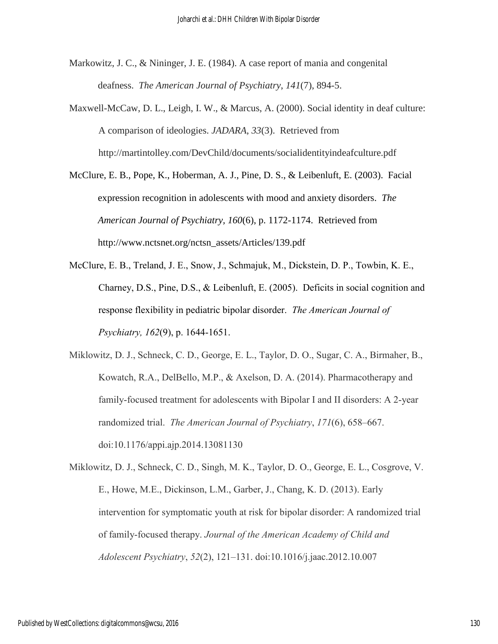- Markowitz, J. C., & Nininger, J. E. (1984). A case report of mania and congenital deafness. *The American Journal of Psychiatry*, *141*(7), 894-5.
- Maxwell-McCaw, D. L., Leigh, I. W., & Marcus, A. (2000). Social identity in deaf culture: A comparison of ideologies. *JADARA*, *33*(3). Retrieved from http://martintolley.com/DevChild/documents/socialidentityindeafculture.pdf
- McClure, E. B., Pope, K., Hoberman, A. J., Pine, D. S., & Leibenluft, E. (2003). Facial expression recognition in adolescents with mood and anxiety disorders. *The American Journal of Psychiatry, 160*(6), p. 1172-1174. Retrieved from http://www.nctsnet.org/nctsn\_assets/Articles/139.pdf
- McClure, E. B., Treland, J. E., Snow, J., Schmajuk, M., Dickstein, D. P., Towbin, K. E., Charney, D.S., Pine, D.S., & Leibenluft, E. (2005). Deficits in social cognition and response flexibility in pediatric bipolar disorder. *The American Journal of Psychiatry, 162*(9), p. 1644-1651.
- Miklowitz, D. J., Schneck, C. D., George, E. L., Taylor, D. O., Sugar, C. A., Birmaher, B., Kowatch, R.A., DelBello, M.P., & Axelson, D. A. (2014). Pharmacotherapy and family-focused treatment for adolescents with Bipolar I and II disorders: A 2-year randomized trial. *The American Journal of Psychiatry*, *171*(6), 658–667. doi:10.1176/appi.ajp.2014.13081130

Miklowitz, D. J., Schneck, C. D., Singh, M. K., Taylor, D. O., George, E. L., Cosgrove, V. E., Howe, M.E., Dickinson, L.M., Garber, J., Chang, K. D. (2013). Early intervention for symptomatic youth at risk for bipolar disorder: A randomized trial of family-focused therapy. *Journal of the American Academy of Child and Adolescent Psychiatry*, *52*(2), 121–131. doi:10.1016/j.jaac.2012.10.007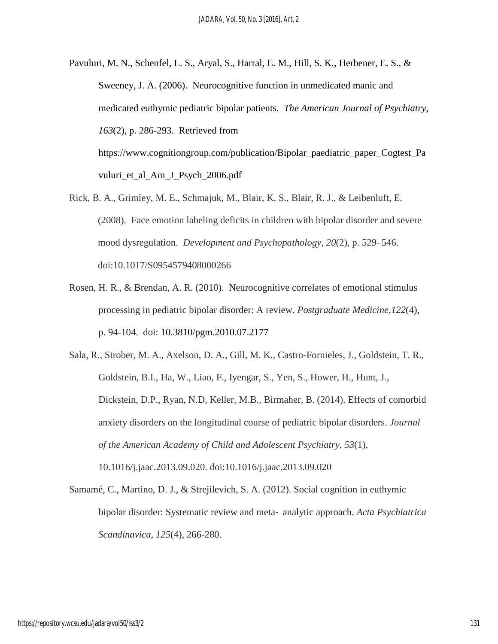- Pavuluri, M. N., Schenfel, L. S., Aryal, S., Harral, E. M., Hill, S. K., Herbener, E. S., & Sweeney, J. A. (2006). Neurocognitive function in unmedicated manic and medicated euthymic pediatric bipolar patients. *The American Journal of Psychiatry, 163*(2), p. 286-293. Retrieved from https://www.cognitiongroup.com/publication/Bipolar\_paediatric\_paper\_Cogtest\_Pa vuluri et al Am J Psych 2006.pdf
- Rick, B. A., Grimley, M. E., Schmajuk, M., Blair, K. S., Blair, R. J., & Leibenluft, E. (2008). Face emotion labeling deficits in children with bipolar disorder and severe mood dysregulation. *Development and Psychopathology*, *20*(2), p. 529–546. doi:10.1017/S0954579408000266
- Rosen, H. R., & Brendan, A. R. (2010). Neurocognitive correlates of emotional stimulus processing in pediatric bipolar disorder: A review. *Postgraduate Medicine,122*(4), p. 94-104. doi: 10.3810/pgm.2010.07.2177
- Sala, R., Strober, M. A., Axelson, D. A., Gill, M. K., Castro-Fornieles, J., Goldstein, T. R., Goldstein, B.I., Ha, W., Liao, F., Iyengar, S., Yen, S., Hower, H., Hunt, J., Dickstein, D.P., Ryan, N.D, Keller, M.B., Birmaher, B. (2014). Effects of comorbid anxiety disorders on the longitudinal course of pediatric bipolar disorders. *Journal of the American Academy of Child and Adolescent Psychiatry*, *53*(1), 10.1016/j.jaac.2013.09.020. doi:10.1016/j.jaac.2013.09.020
- Samamé, C., Martino, D. J., & Strejilevich, S. A. (2012). Social cognition in euthymic bipolar disorder: Systematic review and meta‐ analytic approach. *Acta Psychiatrica Scandinavica*, *125*(4), 266-280.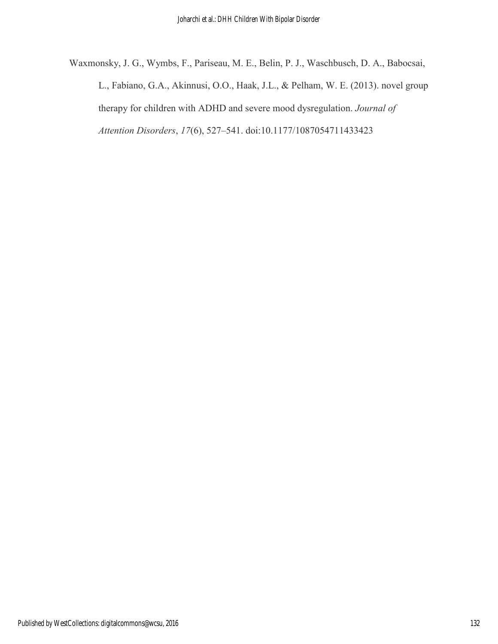Waxmonsky, J. G., Wymbs, F., Pariseau, M. E., Belin, P. J., Waschbusch, D. A., Babocsai, L., Fabiano, G.A., Akinnusi, O.O., Haak, J.L., & Pelham, W. E. (2013). novel group therapy for children with ADHD and severe mood dysregulation. *Journal of Attention Disorders*, *17*(6), 527–541. doi:10.1177/1087054711433423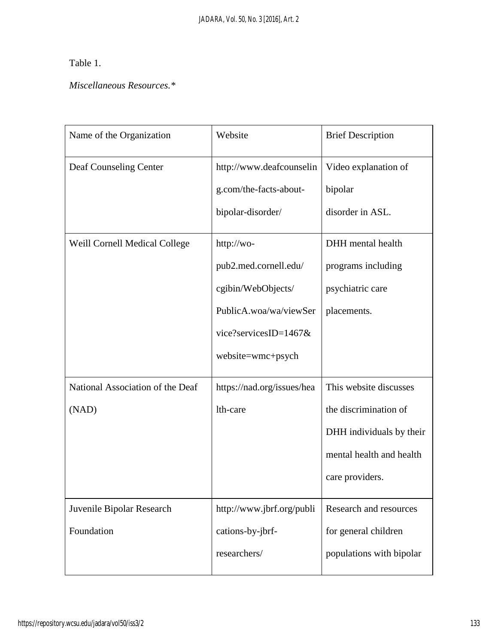# Table 1.

## *Miscellaneous Resources.\**

| Name of the Organization                  | Website                                                                                                                           | <b>Brief Description</b>                                                                                                   |
|-------------------------------------------|-----------------------------------------------------------------------------------------------------------------------------------|----------------------------------------------------------------------------------------------------------------------------|
| Deaf Counseling Center                    | http://www.deafcounselin<br>g.com/the-facts-about-<br>bipolar-disorder/                                                           | Video explanation of<br>bipolar<br>disorder in ASL.                                                                        |
| Weill Cornell Medical College             | http://wo-<br>pub2.med.cornell.edu/<br>cgibin/WebObjects/<br>PublicA.woa/wa/viewSer<br>vice?servicesID=1467&<br>website=wmc+psych | DHH mental health<br>programs including<br>psychiatric care<br>placements.                                                 |
| National Association of the Deaf<br>(NAD) | https://nad.org/issues/hea<br>lth-care                                                                                            | This website discusses<br>the discrimination of<br>DHH individuals by their<br>mental health and health<br>care providers. |
| Juvenile Bipolar Research<br>Foundation   | http://www.jbrf.org/publi<br>cations-by-jbrf-<br>researchers/                                                                     | Research and resources<br>for general children<br>populations with bipolar                                                 |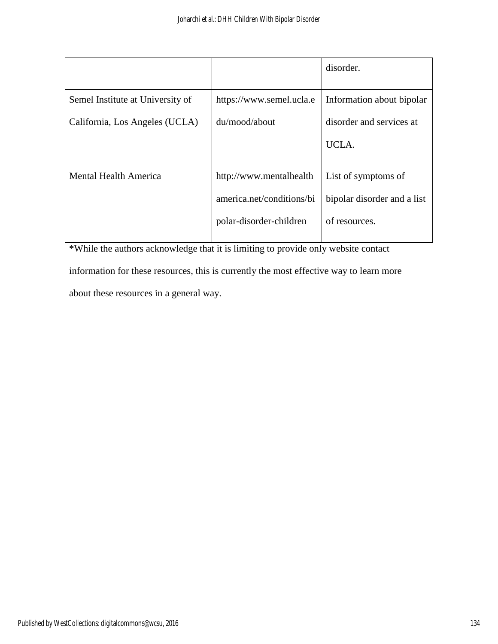|                                  |                           | disorder.                   |
|----------------------------------|---------------------------|-----------------------------|
| Semel Institute at University of | https://www.semel.ucla.e  | Information about bipolar   |
| California, Los Angeles (UCLA)   | du/mood/about             | disorder and services at    |
|                                  |                           | UCLA.                       |
|                                  |                           |                             |
| <b>Mental Health America</b>     | http://www.mentalhealth   | List of symptoms of         |
|                                  | america.net/conditions/bi | bipolar disorder and a list |
|                                  | polar-disorder-children   | of resources.               |
|                                  |                           |                             |

\*While the authors acknowledge that it is limiting to provide only website contact information for these resources, this is currently the most effective way to learn more

about these resources in a general way.